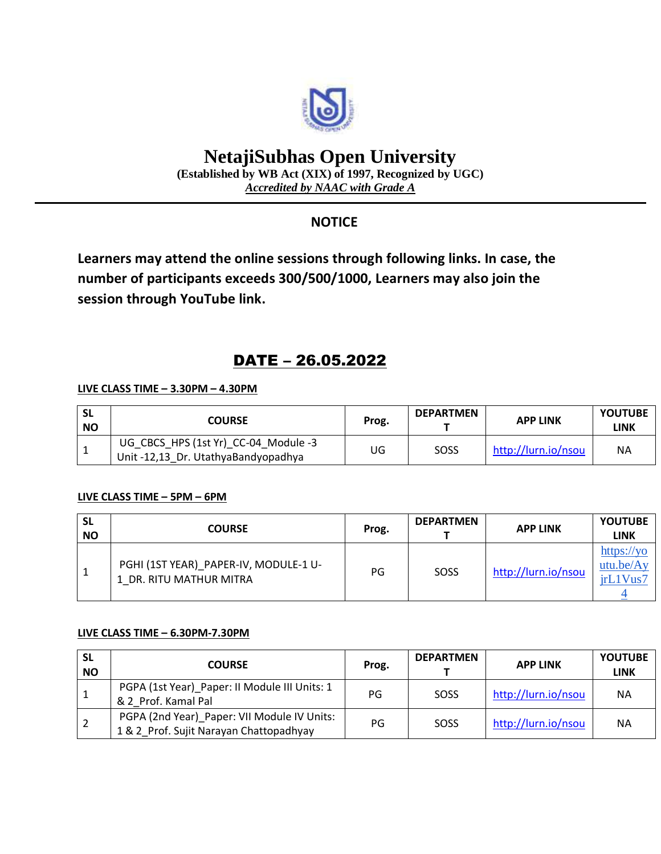

# **NetajiSubhas Open University**

**(Established by WB Act (XIX) of 1997, Recognized by UGC)** *Accredited by NAAC with Grade A*

### **NOTICE**

**Learners may attend the online sessions through following links. In case, the number of participants exceeds 300/500/1000, Learners may also join the session through YouTube link.**

## DATE – 26.05.2022

#### **LIVE CLASS TIME – 3.30PM – 4.30PM**

| <b>SL</b><br><b>NO</b> | <b>COURSE</b>                                                               | Prog. | <b>DEPARTMEN</b> | <b>APP LINK</b>     | <b>YOUTUBE</b><br>LINK |
|------------------------|-----------------------------------------------------------------------------|-------|------------------|---------------------|------------------------|
|                        | UG CBCS HPS (1st Yr) CC-04 Module -3<br>Unit -12,13 Dr. UtathyaBandyopadhya | JG    | SOSS             | http://lurn.io/nsou | <b>NA</b>              |

#### **LIVE CLASS TIME – 5PM – 6PM**

| <b>SL</b><br><b>NO</b> | <b>COURSE</b>                                                    | Prog. | <b>DEPARTMEN</b> | <b>APP LINK</b>     | <b>YOUTUBE</b><br>LINK             |
|------------------------|------------------------------------------------------------------|-------|------------------|---------------------|------------------------------------|
| 1                      | PGHI (1ST YEAR) PAPER-IV, MODULE-1 U-<br>1 DR. RITU MATHUR MITRA | PG    | SOSS             | http://lurn.io/nsou | https://yo<br>utu.be/Ay<br>irL1Vus |

#### **LIVE CLASS TIME – 6.30PM-7.30PM**

| <b>SL</b><br><b>NO</b> | <b>COURSE</b>                                                                          | Prog. | <b>DEPARTMEN</b> | <b>APP LINK</b>     | <b>YOUTUBE</b><br><b>LINK</b> |
|------------------------|----------------------------------------------------------------------------------------|-------|------------------|---------------------|-------------------------------|
| 1                      | PGPA (1st Year)_Paper: II Module III Units: 1<br>& 2 Prof. Kamal Pal                   | PG    | SOSS             | http://lurn.io/nsou | <b>NA</b>                     |
| -2                     | PGPA (2nd Year)_Paper: VII Module IV Units:<br>1 & 2 Prof. Sujit Narayan Chattopadhyay | PG    | SOSS             | http://lurn.io/nsou | <b>NA</b>                     |